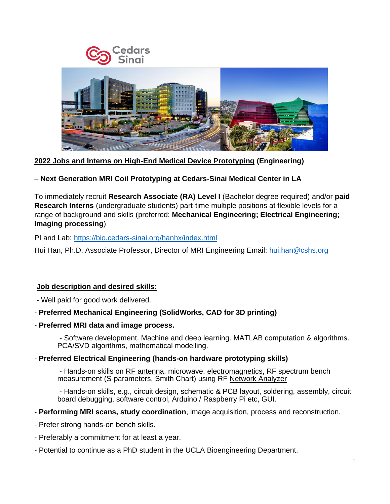

**2022 Jobs and Interns on High-End Medical Device Prototyping (Engineering)** 

– **Next Generation MRI Coil Prototyping at Cedars-Sinai Medical Center in LA**

To immediately recruit **Research Associate (RA) Level I** (Bachelor degree required) and/or **paid Research Interns** (undergraduate students) part-time multiple positions at flexible levels for a range of background and skills (preferred: **Mechanical Engineering; Electrical Engineering; Imaging processing**)

PI and Lab:<https://bio.cedars-sinai.org/hanhx/index.html>

Hui Han, Ph.D. Associate Professor, Director of MRI Engineering Email: [hui.han@cshs.org](mailto:hui.han@cshs.org) 

## **Job description and desired skills:**

- Well paid for good work delivered.

## - **Preferred Mechanical Engineering (SolidWorks, CAD for 3D printing)**

- **Preferred MRI data and image process.**

- Software development. Machine and deep learning. MATLAB computation & algorithms. PCA/SVD algorithms, mathematical modelling.

#### - **Preferred Electrical Engineering (hands-on hardware prototyping skills)**

- Hands-on skills on RF antenna, microwave, electromagnetics, RF spectrum bench measurement (S-parameters, Smith Chart) using RF Network Analyzer

- Hands-on skills, e.g., circuit design, schematic & PCB layout, soldering, assembly, circuit board debugging, software control, Arduino / Raspberry Pi etc, GUI.

- **Performing MRI scans, study coordination**, image acquisition, process and reconstruction.
- Prefer strong hands-on bench skills.
- Preferably a commitment for at least a year.
- Potential to continue as a PhD student in the UCLA Bioengineering Department.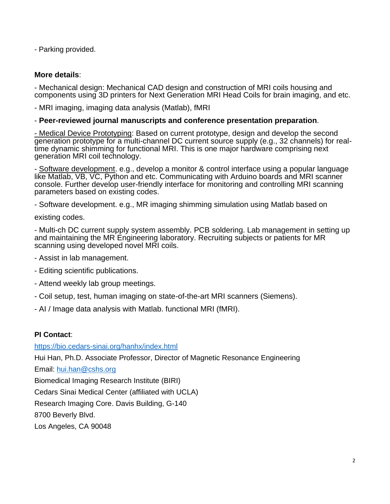- Parking provided.

# **More details**:

- Mechanical design: Mechanical CAD design and construction of MRI coils housing and components using 3D printers for Next Generation MRI Head Coils for brain imaging, and etc.

- MRI imaging, imaging data analysis (Matlab), fMRI

# - **Peer-reviewed journal manuscripts and conference presentation preparation**.

- Medical Device Prototyping: Based on current prototype, design and develop the second generation prototype for a multi-channel DC current source supply (e.g., 32 channels) for realtime dynamic shimming for functional MRI. This is one major hardware comprising next generation MRI coil technology.

- Software development. e.g., develop a monitor & control interface using a popular language like Matlab, VB, VC, Python and etc. Communicating with Arduino boards and MRI scanner console. Further develop user-friendly interface for monitoring and controlling MRI scanning parameters based on existing codes.

- Software development. e.g., MR imaging shimming simulation using Matlab based on

existing codes.

- Multi-ch DC current supply system assembly. PCB soldering. Lab management in setting up and maintaining the MR Engineering laboratory. Recruiting subjects or patients for MR scanning using developed novel MRI coils.

- Assist in lab management.
- Editing scientific publications.
- Attend weekly lab group meetings.
- Coil setup, test, human imaging on state-of-the-art MRI scanners (Siemens).
- AI / Image data analysis with Matlab. functional MRI (fMRI).

# **PI Contact**:

<https://bio.cedars-sinai.org/hanhx/index.html> Hui Han, Ph.D. Associate Professor, Director of Magnetic Resonance Engineering Email: [hui.han@cshs.org](mailto:hui.han@cshs.org)  Biomedical Imaging Research Institute (BIRI) Cedars Sinai Medical Center (affiliated with UCLA) Research Imaging Core. Davis Building, G-140 8700 Beverly Blvd. Los Angeles, CA 90048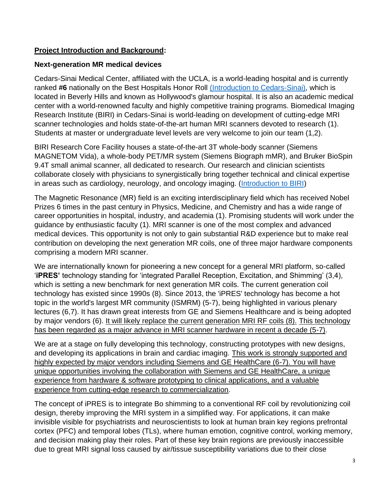## **Project Introduction and Background:**

## **Next-generation MR medical devices**

Cedars-Sinai Medical Center, affiliated with the UCLA, is a world-leading hospital and is currently ranked **#6** nationally on the Best Hospitals Honor Roll [\(Introduction to Cedars-Sinai\),](https://www.youtube.com/watch?v=NwaZ1TyiwLk) which is located in Beverly Hills and known as Hollywood's glamour hospital. It is also an academic medical center with a world-renowned faculty and highly competitive training programs. Biomedical Imaging Research Institute (BIRI) in Cedars-Sinai is world-leading on development of cutting-edge MRI scanner technologies and holds state-of-the-art human MRI scanners devoted to research (1). Students at master or undergraduate level levels are very welcome to join our team (1,2).

BIRI Research Core Facility houses a state-of-the-art 3T whole-body scanner (Siemens MAGNETOM Vida), a whole-body PET/MR system (Siemens Biograph mMR), and Bruker BioSpin 9.4T small animal scanner, all dedicated to research. Our research and clinician scientists collaborate closely with physicians to synergistically bring together technical and clinical expertise in areas such as cardiology, neurology, and oncology imaging. [\(Introduction to BIRI\)](https://www.youtube.com/watch?list=PL9CZabk3nD4F9eDpf6h2jRlFyxSv0BCIx&v=7vJyigY1AUw&febe)

The Magnetic Resonance (MR) field is an exciting interdisciplinary field which has received Nobel Prizes 6 times in the past century in Physics, Medicine, and Chemistry and has a wide range of career opportunities in hospital, industry, and academia (1). Promising students will work under the guidance by enthusiastic faculty (1). MRI scanner is one of the most complex and advanced medical devices. This opportunity is not only to gain substantial R&D experience but to make real contribution on developing the next generation MR coils, one of three major hardware components comprising a modern MRI scanner.

We are internationally known for pioneering a new concept for a general MRI platform, so-called '**iPRES'** technology standing for 'integrated Parallel Reception, Excitation, and Shimming' (3,4), which is setting a new benchmark for next generation MR coils. The current generation coil technology has existed since 1990s (8). Since 2013, the 'iPRES' technology has become a hot topic in the world's largest MR community (ISMRM) (5-7), being highlighted in various plenary lectures (6,7). It has drawn great interests from GE and Siemens Healthcare and is being adopted by major vendors (6). It will likely replace the current generation MRI RF coils (8). This technology has been regarded as a major advance in MRI scanner hardware in recent a decade (5-7).

We are at a stage on fully developing this technology, constructing prototypes with new designs, and developing its applications in brain and cardiac imaging. This work is strongly supported and highly expected by major vendors including Siemens and GE HealthCare (6-7). You will have unique opportunities involving the collaboration with Siemens and GE HealthCare, a unique experience from hardware & software prototyping to clinical applications, and a valuable experience from cutting-edge research to commercialization.

The concept of iPRES is to integrate Bo shimming to a conventional RF coil by revolutionizing coil design, thereby improving the MRI system in a simplified way. For applications, it can make invisible visible for psychiatrists and neuroscientists to look at human brain key regions prefrontal cortex (PFC) and temporal lobes (TLs), where human emotion, cognitive control, working memory, and decision making play their roles. Part of these key brain regions are previously inaccessible due to great MRI signal loss caused by air/tissue susceptibility variations due to their close